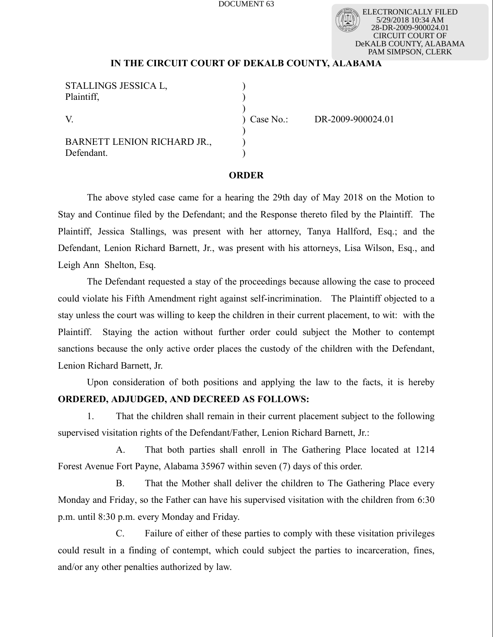DOCUMENT 63

ELECTRONICALLY FILED 5/29/2018 10:34 AM 28-DR-2009-900024.01 CIRCUIT COURT OF DeKALB COUNTY, ALABAMA PAM SIMPSON, CLERK

## **IN THE CIRCUIT COURT OF DEKALB COUNTY, ALABAMA**

| STALLINGS JESSICA L.        |           |                   |
|-----------------------------|-----------|-------------------|
| Plaintiff,                  |           |                   |
|                             |           |                   |
| V                           | Case No.: | DR-2009-900024.01 |
|                             |           |                   |
| BARNETT LENION RICHARD JR., |           |                   |
| Defendant.                  |           |                   |

## **ORDER**

The above styled case came for a hearing the 29th day of May 2018 on the Motion to Stay and Continue filed by the Defendant; and the Response thereto filed by the Plaintiff. The Plaintiff, Jessica Stallings, was present with her attorney, Tanya Hallford, Esq.; and the Defendant, Lenion Richard Barnett, Jr., was present with his attorneys, Lisa Wilson, Esq., and Leigh Ann Shelton, Esq.

The Defendant requested a stay of the proceedings because allowing the case to proceed could violate his Fifth Amendment right against self-incrimination. The Plaintiff objected to a stay unless the court was willing to keep the children in their current placement, to wit: with the Plaintiff. Staying the action without further order could subject the Mother to contempt sanctions because the only active order places the custody of the children with the Defendant, Lenion Richard Barnett, Jr.

Upon consideration of both positions and applying the law to the facts, it is hereby **ORDERED, ADJUDGED, AND DECREED AS FOLLOWS:**

1. That the children shall remain in their current placement subject to the following supervised visitation rights of the Defendant/Father, Lenion Richard Barnett, Jr.:

A. That both parties shall enroll in The Gathering Place located at 1214 Forest Avenue Fort Payne, Alabama 35967 within seven (7) days of this order.

B. That the Mother shall deliver the children to The Gathering Place every Monday and Friday, so the Father can have his supervised visitation with the children from 6:30 p.m. until 8:30 p.m. every Monday and Friday.

C. Failure of either of these parties to comply with these visitation privileges could result in a finding of contempt, which could subject the parties to incarceration, fines, and/or any other penalties authorized by law.